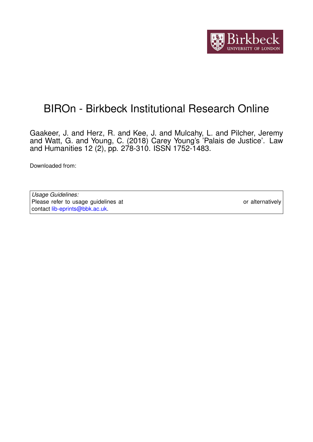

## BIROn - Birkbeck Institutional Research Online

Gaakeer, J. and Herz, R. and Kee, J. and Mulcahy, L. and Pilcher, Jeremy and Watt, G. and Young, C. (2018) Carey Young's 'Palais de Justice'. Law and Humanities 12 (2), pp. 278-310. ISSN 1752-1483.

Downloaded from: <https://eprints.bbk.ac.uk/id/eprint/25141/>

*Usage Guidelines:* Please refer to usage guidelines at <https://eprints.bbk.ac.uk/policies.html> or alternatively contact [lib-eprints@bbk.ac.uk.](mailto:lib-eprints@bbk.ac.uk)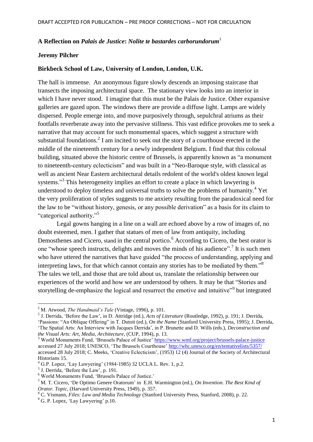## **A Reflection on** *Palais de Justice***:** *Nolite te bastardes carborundorum*<sup>1</sup>

## **Jeremy Pilcher**

## **Birkbeck School of Law, University of London, London, U.K.**

The hall is immense. An anonymous figure slowly descends an imposing staircase that transects the imposing architectural space. The stationary view looks into an interior in which I have never stood. I imagine that this must be the Palais de Justice. Other expansive galleries are gazed upon. The windows there are provide a diffuse light. Lamps are widely dispersed. People emerge into, and move purposively through, sepulchral atriums as their footfalls reverberate away into the pervasive stillness. This vast edifice provokes me to seek a narrative that may account for such monumental spaces, which suggest a structure with substantial foundations.<sup>2</sup> I am incited to seek out the story of a courthouse erected in the middle of the nineteenth century for a newly independent Belgium. I find that this colossal building, situated above the historic centre of Brussels, is apparently known as "a monument to nineteenth-century eclecticism" and was built in a "Neo-Baroque style, with classical as well as ancient Near Eastern architectural details redolent of the world's oldest known legal systems."<sup>3</sup> This heterogeneity implies an effort to create a place in which lawyering is understood to deploy timeless and universal truths to solve the problems of humanity.<sup>4</sup> Yet the very proliferation of styles suggests to me anxiety resulting from the paradoxical need for the law to be "without history, genesis, or any possible derivation" as a basis for its claim to "categorical authority." 5

Legal gowns hanging in a line on a wall are echoed above by a row of images of, no doubt esteemed, men. I gather that statues of men of law from antiquity, including Demosthenes and Cicero, stand in the central portico.<sup>6</sup> According to Cicero, the best orator is one "whose speech instructs, delights and moves the minds of his audience".<sup>7</sup> It is such men who have uttered the narratives that have guided "the process of understanding, applying and interpreting laws, for that which cannot contain any stories has to be mediated by them."<sup>8</sup> The tales we tell, and those that are told about us, translate the relationship between our experiences of the world and how we are understood by others. It may be that "Stories and storytelling de-emphasize the logical and resurrect the emotive and intuitive"<sup>9</sup> but integrated

**.** 

<sup>&</sup>lt;sup>1</sup> M. Atwood, *The Handmaid's Tale* (Vintage, 1996), p. 101.

<sup>2</sup> J. Derrida, 'Before the Law', in D. Attridge (ed.), *Acts of Literature* (Routledge, 1992), p. 191; J. Derrida, 'Passions: "An Oblique Offering" in T. Dutoit (ed.), *On the Name* (Stanford University Press, 1995); J. Derrida, 'The Spatial Arts: An Interview with Jacques Derrida', in P. Brunette and D. Wills (eds.), *Deconstruction and the Visual Arts: Art, Media, Architecture*, (CUP, 1994), p. 13.

<sup>&</sup>lt;sup>3</sup> World Monuments Fund, 'Brussels Palace of Justice'<https://www.wmf.org/project/brussels-palace-justice> accessed 27 July 2018; UNESCO, 'The Brussels Courthouse'<http://whc.unesco.org/en/tentativelists/5357/> accessed 28 July 2018; C. Meeks, 'Creative Eclecticism', (1953) 12 (4) Journal of the Society of Architectural Historians 15.

 $4$  G.P. Lopez, 'Lay Lawyering' (1984-1985) 32 UCLA L. Rev. 1, p.2.

<sup>5</sup> J. Derrida, 'Before the Law', p. 191.

<sup>6</sup> World Monuments Fund, 'Brussels Palace of Justice.'

<sup>7</sup> M. T. Cicero, 'De Optimo Genere Oratorum' in E.H. Warmington (ed.), *On Invention. The Best Kind of Orator. Topic,* (Harvard University Press, 1949), p. 357.

<sup>8</sup> C. Vismann, *Files: Law and Media Technology* (Stanford University Press, Stanford, 2008), p. 22.

<sup>&</sup>lt;sup>9</sup> G. P. Lopez. 'Lay Lawyering' p.10.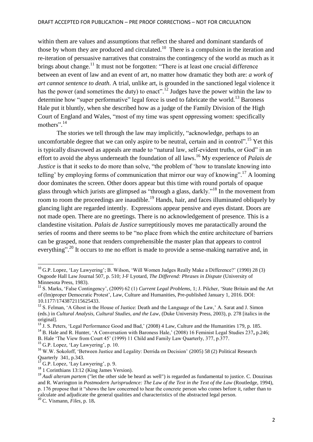within them are values and assumptions that reflect the shared and dominant standards of those by whom they are produced and circulated.<sup>10</sup> There is a compulsion in the iteration and re-iteration of persuasive narratives that constrains the contingency of the world as much as it brings about change.<sup>11</sup> It must not be forgotten: "There is at least one crucial difference between an event of law and an event of art, no matter how dramatic they both are: *a work of art cannot sentence to death*. A trial, unlike art, is grounded in the sanctioned legal violence it has the power (and sometimes the duty) to enact".<sup>12</sup> Judges have the power within the law to determine how "super performative" legal force is used to fabricate the world.<sup>13</sup> Baroness Hale put it bluntly, when she described how as a judge of the Family Division of the High Court of England and Wales, "most of my time was spent oppressing women: specifically mothers". 14

The stories we tell through the law may implicitly, "acknowledge, perhaps to an uncomfortable degree that we can only aspire to be neutral, certain and in control".<sup>15</sup> Yet this is typically disavowed as appeals are made to "natural law, self-evident truths, or God" in an effort to avoid the abyss underneath the foundation of all laws. <sup>16</sup> My experience of *Palais de Justice* is that it seeks to do more than solve, "the problem of 'how to translate knowing into telling' by employing forms of communication that mirror our way of knowing".<sup>17</sup> A looming door dominates the screen. Other doors appear but this time with round portals of opaque glass through which jurists are glimpsed as "through a glass, darkly."<sup>18</sup> In the movement from room to room the proceedings are inaudible.<sup>19</sup> Hands, hair, and faces illuminated obliquely by glancing light are regarded intently. Expressions appear pensive and eyes distant. Doors are not made open. There are no greetings. There is no acknowledgement of presence. This is a clandestine visitation. *Palais de Justice* surreptitiously moves me paratactically around the series of rooms and there seems to be "no place from which the entire architecture of barriers can be grasped, none that renders comprehensible the master plan that appears to control everything".<sup>20</sup> It occurs to me no effort is made to provide a sense-making narrative and, in

<sup>14</sup> B. Hale and R. Hunter, 'A Conversation with Baroness Hale,' (2008) 16 Feminist Legal Studies 237**,** p.246; B. Hale 'The View from Court 45' (1999) 11 Child and Family Law Quarterly, 377, p.377.

**.** 

<sup>&</sup>lt;sup>10</sup> G.P. Lopez, 'Lay Lawyering'; B. Wilson, 'Will Women Judges Really Make a Difference?' (1990) 28 (3) Osgoode Hall Law Journal 507, p. 510; J-F Lyotard, *The Differend: Phrases in Dispute* (University of Minnesota Press, 1983).

<sup>11</sup> S. Marks, 'False Contingency', (2009) 62 (1) *Current Legal Problems*, 1; J. Pilcher, 'State Britain and the Art of (Im)proper Democratic Protest', Law, Culture and Humanities, Pre-published January 1, 2016. DOI: 10.1177/1743872115625433.

 $12$  S. Felman, 'A Ghost in the House of Justice: Death and the Language of the Law,' A. Sarat and J. Simon (eds.) in *Cultural Analysis, Cultural Studies, and the Law*, (Duke University Press, 2003), p. 278 [italics in the original].

<sup>&</sup>lt;sup>13</sup> J. S. Peters, 'Legal Performance Good and Bad,' (2008) 4 Law, Culture and the Humanities 179, p. 185.

<sup>&</sup>lt;sup>15</sup> G.P. Lopez, 'Lay Lawyering', p. 10.

<sup>&</sup>lt;sup>16</sup> W.W. Sokoloff, 'Between Justice and Legality: Derrida on Decision' (2005) 58 (2) Political Research Quarterly 341, p.343.

 $'$  G.P. Lopez, 'Lay Lawyering', p. 9.

<sup>&</sup>lt;sup>18</sup> 1 Corinthians 13:12 (King James Version).

<sup>19</sup> *Audi alteram partem* ("let the other side be heard as well") is regarded as fundamental to justice. C. Douzinas and R. Warrington in *Postmodern Jurisprudence: The Law of the Text in the Text of the Law* (Routledge, 1994), p. 176 propose that it "shows the law concerned to hear the concrete person who comes before it, rather than to calculate and adjudicate the general qualities and characteristics of the abstracted legal person.

<sup>20</sup> C. Vismann, *Files*, p. 18**.**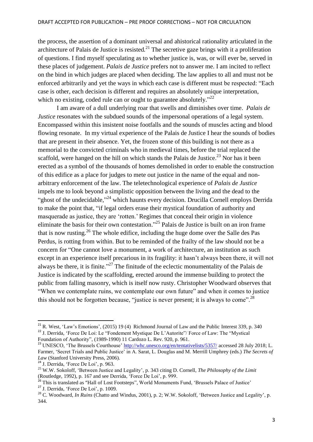the process, the assertion of a dominant universal and ahistorical rationality articulated in the architecture of Palais de Justice is resisted*.* <sup>21</sup> The secretive gaze brings with it a proliferation of questions. I find myself speculating as to whether justice is, was, or will ever be, served in these places of judgement. *Palais de Justice* prefers not to answer me. I am incited to reflect on the bind in which judges are placed when deciding. The law applies to all and must not be enforced arbitrarily and yet the ways in which each case is different must be respected: "Each case is other, each decision is different and requires an absolutely unique interpretation, which no existing, coded rule can or ought to guarantee absolutely."<sup>22</sup>

I am aware of a dull underlying roar that swells and diminishes over time. *Palais de Justice* resonates with the subdued sounds of the impersonal operations of a legal system. Encompassed within this insistent noise footfalls and the sounds of muscles acting and blood flowing resonate. In my virtual experience of the Palais de Justice I hear the sounds of bodies that are present in their absence. Yet, the frozen stone of this building is not there as a memorial to the convicted criminals who in medieval times, before the trial replaced the scaffold, were hanged on the hill on which stands the Palais de Justice.<sup>23</sup> Nor has it been erected as a symbol of the thousands of homes demolished in order to enable the construction of this edifice as a place for judges to mete out justice in the name of the equal and nonarbitrary enforcement of the law. The teletechnological experience of *Palais de Justice* impels me to look beyond a simplistic opposition between the living and the dead to the "ghost of the undecidable,"<sup>24</sup> which haunts every decision. Drucilla Cornell employs Derrida to make the point that, "if legal orders erase their mystical foundation of authority and masquerade as justice, they are 'rotten.' Regimes that conceal their origin in violence eliminate the basis for their own contestation."<sup>25</sup> Palais de Justice is built on an iron frame that is now rusting.<sup>26</sup> The whole edifice, including the huge dome over the Salle des Pas Perdus, is rotting from within. But to be reminded of the frailty of the law should not be a concern for "One cannot love a monument, a work of architecture, an institution as such except in an experience itself precarious in its fragility: it hasn't always been there, it will not always be there, it is finite."<sup>27</sup> The finitude of the eclectic monumentality of the Palais de Justice is indicated by the scaffolding, erected around the immense building to protect the public from falling masonry, which is itself now rusty. Christopher Woodward observes that "When we contemplate ruins, we contemplate our own future" and when it comes to justice this should not be forgotten because, "justice is never present; it is always to come".<sup>28</sup>

1

<sup>&</sup>lt;sup>21</sup> R. West, 'Law's Emotions', (2015) 19 (4) Richmond Journal of Law and the Public Interest 339, p. 340 <sup>22</sup> J. Derrida, 'Force De Loi: Le "Fondement Mystique De L'Autorite"/ Force of Law: The "Mystical Foundation of Authority", (1989-1990) 11 Cardozo L. Rev. 920, p. 961.

<sup>&</sup>lt;sup>23</sup> UNESCO, 'The Brussels Courthouse'<http://whc.unesco.org/en/tentativelists/5357/> accessed 28 July 2018; L. Farmer, 'Secret Trials and Public Justice' in A. Sarat, L. Douglas and M. Merrill Umphrey (eds.) *The Secrets of Law* (Stanford University Press, 2006).

<sup>24</sup> J. Derrida, 'Force De Loi', p. 963.

<sup>25</sup> W.W. Sokoloff, 'Between Justice and Legality', p. 343 citing D. Cornell, *The Philosophy of the Limit* (Routledge, 1992), p. 167 and see Derrida, 'Force De Loi', p. 999.

<sup>&</sup>lt;sup>26</sup> This is translated as "Hall of Lost Footsteps", World Monuments Fund, 'Brussels Palace of Justice' <sup>27</sup> J. Derrida, 'Force De Loi', p. 1009.

<sup>&</sup>lt;sup>28</sup> C. Woodward, *In Ruins* (Chatto and Windus, 2001), p. 2; W.W. Sokoloff, 'Between Justice and Legality', p. 344.